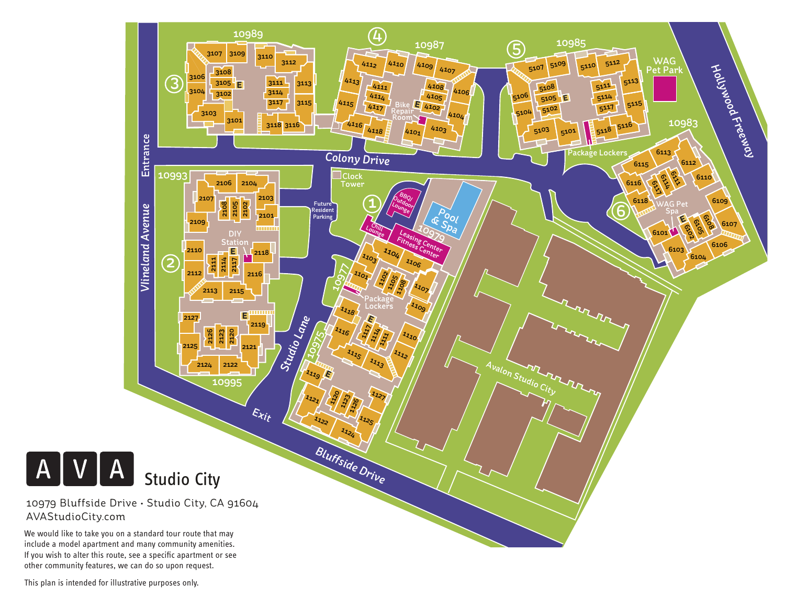

This plan is intended for illustrative purposes only.